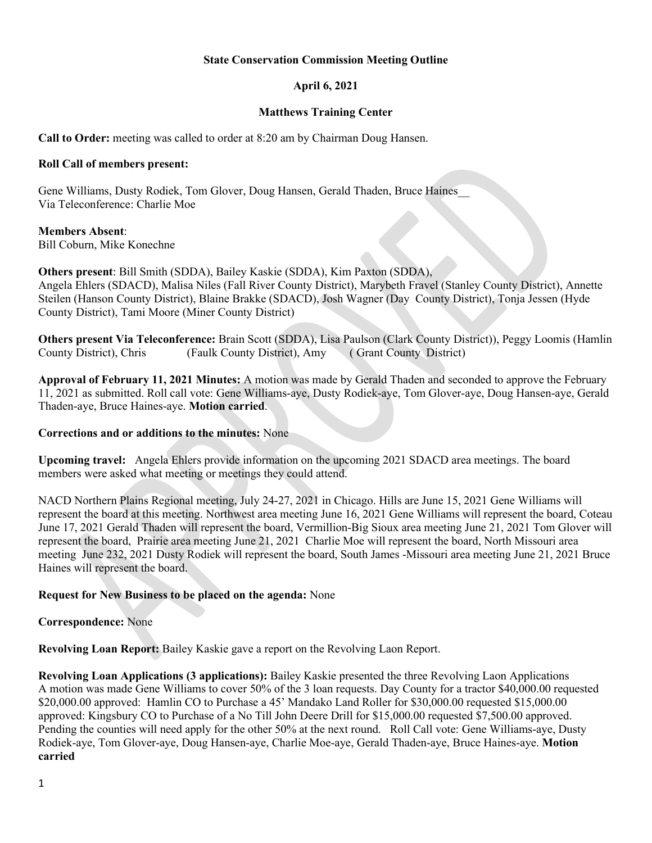#### **State Conservation Commission Meeting Outline**

# **April 6, 2021**

#### **Matthews Training Center**

**Call to Order:** meeting was called to order at 8:20 am by Chairman Doug Hansen.

#### **Roll Call of members present:**

Gene Williams, Dusty Rodiek, Tom Glover, Doug Hansen, Gerald Thaden, Bruce Haines\_\_ Via Teleconference: Charlie Moe

#### **Members Absent**:

Bill Coburn, Mike Konechne

**Others present**: Bill Smith (SDDA), Bailey Kaskie (SDDA), Kim Paxton (SDDA), Angela Ehlers (SDACD), Malisa Niles (Fall River County District), Marybeth Fravel (Stanley County District), Annette Steilen (Hanson County District), Blaine Brakke (SDACD), Josh Wagner (Day County District), Tonja Jessen (Hyde County District), Tami Moore (Miner County District)

**Others present Via Teleconference:** Brain Scott (SDDA), Lisa Paulson (Clark County District)), Peggy Loomis (Hamlin County District), Chris (Faulk County District), Amy ( Grant County District)

**Approval of February 11, 2021 Minutes:** A motion was made by Gerald Thaden and seconded to approve the February 11, 2021 as submitted. Roll call vote: Gene Williams-aye, Dusty Rodiek-aye, Tom Glover-aye, Doug Hansen-aye, Gerald Thaden-aye, Bruce Haines-aye. **Motion carried**.

# **Corrections and or additions to the minutes:** None

**Upcoming travel:** Angela Ehlers provide information on the upcoming 2021 SDACD area meetings. The board members were asked what meeting or meetings they could attend.

NACD Northern Plains Regional meeting, July 24-27, 2021 in Chicago. Hills are June 15, 2021 Gene Williams will represent the board at this meeting. Northwest area meeting June 16, 2021 Gene Williams will represent the board, Coteau June 17, 2021 Gerald Thaden will represent the board, Vermillion-Big Sioux area meeting June 21, 2021 Tom Glover will represent the board, Prairie area meeting June 21, 2021 Charlie Moe will represent the board, North Missouri area meeting June 232, 2021 Dusty Rodiek will represent the board, South James -Missouri area meeting June 21, 2021 Bruce Haines will represent the board.

# **Request for New Business to be placed on the agenda:** None

# **Correspondence:** None

**Revolving Loan Report:** Bailey Kaskie gave a report on the Revolving Laon Report.

**Revolving Loan Applications (3 applications):** Bailey Kaskie presented the three Revolving Laon Applications A motion was made Gene Williams to cover 50% of the 3 loan requests. Day County for a tractor \$40,000.00 requested \$20,000.00 approved: Hamlin CO to Purchase a 45' Mandako Land Roller for \$30,000.00 requested \$15,000.00 approved: Kingsbury CO to Purchase of a No Till John Deere Drill for \$15,000.00 requested \$7,500.00 approved. Pending the counties will need apply for the other 50% at the next round. Roll Call vote: Gene Williams-aye, Dusty Rodiek-aye, Tom Glover-aye, Doug Hansen-aye, Charlie Moe-aye, Gerald Thaden-aye, Bruce Haines-aye. **Motion carried**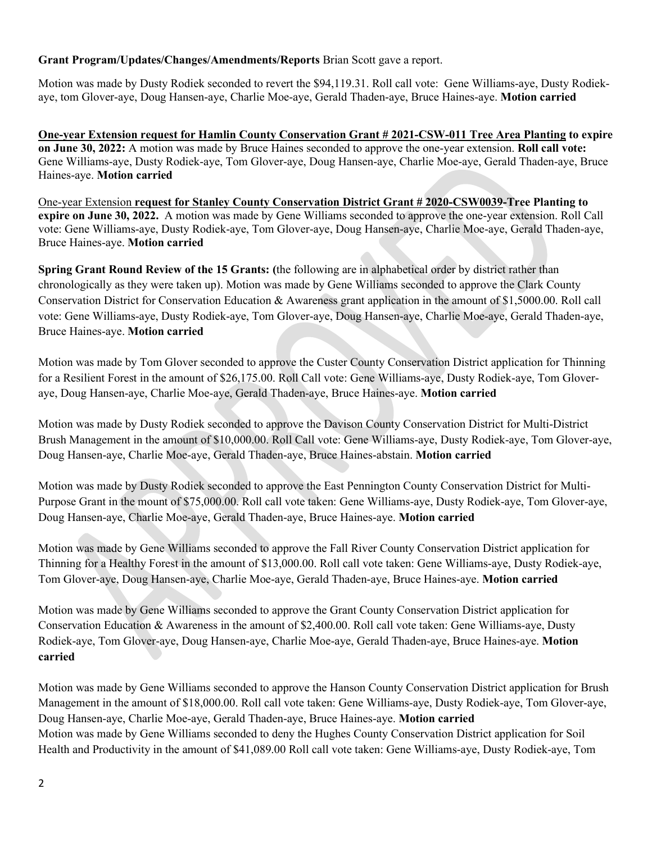# **Grant Program/Updates/Changes/Amendments/Reports** Brian Scott gave a report.

Motion was made by Dusty Rodiek seconded to revert the \$94,119.31. Roll call vote: Gene Williams-aye, Dusty Rodiekaye, tom Glover-aye, Doug Hansen-aye, Charlie Moe-aye, Gerald Thaden-aye, Bruce Haines-aye. **Motion carried**

**One-year Extension request for Hamlin County Conservation Grant # 2021-CSW-011 Tree Area Planting to expire on June 30, 2022:** A motion was made by Bruce Haines seconded to approve the one-year extension. **Roll call vote:**  Gene Williams-aye, Dusty Rodiek-aye, Tom Glover-aye, Doug Hansen-aye, Charlie Moe-aye, Gerald Thaden-aye, Bruce Haines-aye. **Motion carried**

One-year Extension **request for Stanley County Conservation District Grant # 2020-CSW0039-Tree Planting to expire on June 30, 2022.** A motion was made by Gene Williams seconded to approve the one-year extension. Roll Call vote: Gene Williams-aye, Dusty Rodiek-aye, Tom Glover-aye, Doug Hansen-aye, Charlie Moe-aye, Gerald Thaden-aye, Bruce Haines-aye. **Motion carried**

**Spring Grant Round Review of the 15 Grants: (**the following are in alphabetical order by district rather than chronologically as they were taken up). Motion was made by Gene Williams seconded to approve the Clark County Conservation District for Conservation Education & Awareness grant application in the amount of \$1,5000.00. Roll call vote: Gene Williams-aye, Dusty Rodiek-aye, Tom Glover-aye, Doug Hansen-aye, Charlie Moe-aye, Gerald Thaden-aye, Bruce Haines-aye. **Motion carried**

Motion was made by Tom Glover seconded to approve the Custer County Conservation District application for Thinning for a Resilient Forest in the amount of \$26,175.00. Roll Call vote: Gene Williams-aye, Dusty Rodiek-aye, Tom Gloveraye, Doug Hansen-aye, Charlie Moe-aye, Gerald Thaden-aye, Bruce Haines-aye. **Motion carried**

Motion was made by Dusty Rodiek seconded to approve the Davison County Conservation District for Multi-District Brush Management in the amount of \$10,000.00. Roll Call vote: Gene Williams-aye, Dusty Rodiek-aye, Tom Glover-aye, Doug Hansen-aye, Charlie Moe-aye, Gerald Thaden-aye, Bruce Haines-abstain. **Motion carried**

Motion was made by Dusty Rodiek seconded to approve the East Pennington County Conservation District for Multi-Purpose Grant in the mount of \$75,000.00. Roll call vote taken: Gene Williams-aye, Dusty Rodiek-aye, Tom Glover-aye, Doug Hansen-aye, Charlie Moe-aye, Gerald Thaden-aye, Bruce Haines-aye. **Motion carried**

Motion was made by Gene Williams seconded to approve the Fall River County Conservation District application for Thinning for a Healthy Forest in the amount of \$13,000.00. Roll call vote taken: Gene Williams-aye, Dusty Rodiek-aye, Tom Glover-aye, Doug Hansen-aye, Charlie Moe-aye, Gerald Thaden-aye, Bruce Haines-aye. **Motion carried**

Motion was made by Gene Williams seconded to approve the Grant County Conservation District application for Conservation Education & Awareness in the amount of \$2,400.00. Roll call vote taken: Gene Williams-aye, Dusty Rodiek-aye, Tom Glover-aye, Doug Hansen-aye, Charlie Moe-aye, Gerald Thaden-aye, Bruce Haines-aye. **Motion carried**

Motion was made by Gene Williams seconded to approve the Hanson County Conservation District application for Brush Management in the amount of \$18,000.00. Roll call vote taken: Gene Williams-aye, Dusty Rodiek-aye, Tom Glover-aye, Doug Hansen-aye, Charlie Moe-aye, Gerald Thaden-aye, Bruce Haines-aye. **Motion carried** Motion was made by Gene Williams seconded to deny the Hughes County Conservation District application for Soil Health and Productivity in the amount of \$41,089.00 Roll call vote taken: Gene Williams-aye, Dusty Rodiek-aye, Tom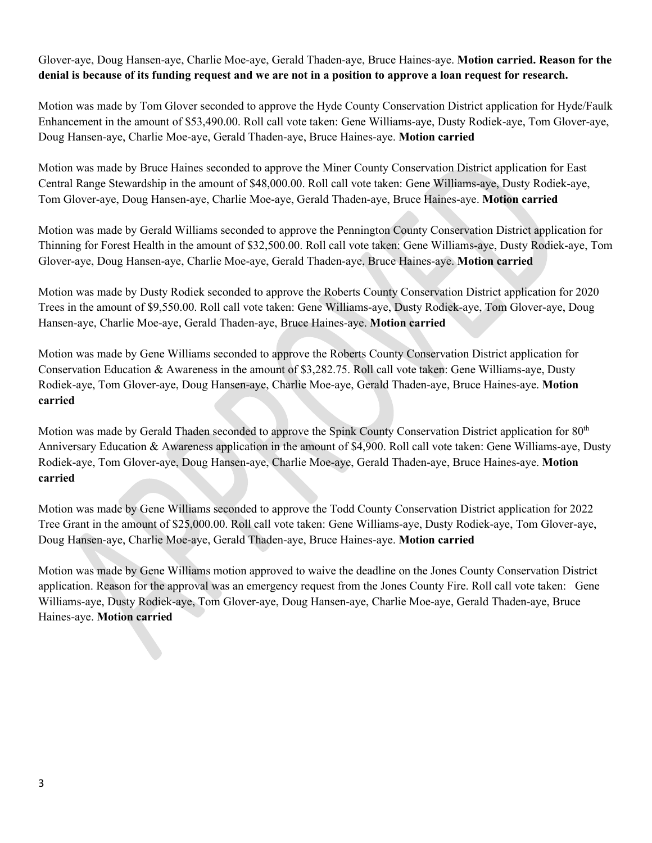Glover-aye, Doug Hansen-aye, Charlie Moe-aye, Gerald Thaden-aye, Bruce Haines-aye. **Motion carried. Reason for the denial is because of its funding request and we are not in a position to approve a loan request for research.**

Motion was made by Tom Glover seconded to approve the Hyde County Conservation District application for Hyde/Faulk Enhancement in the amount of \$53,490.00. Roll call vote taken: Gene Williams-aye, Dusty Rodiek-aye, Tom Glover-aye, Doug Hansen-aye, Charlie Moe-aye, Gerald Thaden-aye, Bruce Haines-aye. **Motion carried**

Motion was made by Bruce Haines seconded to approve the Miner County Conservation District application for East Central Range Stewardship in the amount of \$48,000.00. Roll call vote taken: Gene Williams-aye, Dusty Rodiek-aye, Tom Glover-aye, Doug Hansen-aye, Charlie Moe-aye, Gerald Thaden-aye, Bruce Haines-aye. **Motion carried**

Motion was made by Gerald Williams seconded to approve the Pennington County Conservation District application for Thinning for Forest Health in the amount of \$32,500.00. Roll call vote taken: Gene Williams-aye, Dusty Rodiek-aye, Tom Glover-aye, Doug Hansen-aye, Charlie Moe-aye, Gerald Thaden-aye, Bruce Haines-aye. **Motion carried**

Motion was made by Dusty Rodiek seconded to approve the Roberts County Conservation District application for 2020 Trees in the amount of \$9,550.00. Roll call vote taken: Gene Williams-aye, Dusty Rodiek-aye, Tom Glover-aye, Doug Hansen-aye, Charlie Moe-aye, Gerald Thaden-aye, Bruce Haines-aye. **Motion carried**

Motion was made by Gene Williams seconded to approve the Roberts County Conservation District application for Conservation Education & Awareness in the amount of \$3,282.75. Roll call vote taken: Gene Williams-aye, Dusty Rodiek-aye, Tom Glover-aye, Doug Hansen-aye, Charlie Moe-aye, Gerald Thaden-aye, Bruce Haines-aye. **Motion carried**

Motion was made by Gerald Thaden seconded to approve the Spink County Conservation District application for 80<sup>th</sup> Anniversary Education & Awareness application in the amount of \$4,900. Roll call vote taken: Gene Williams-aye, Dusty Rodiek-aye, Tom Glover-aye, Doug Hansen-aye, Charlie Moe-aye, Gerald Thaden-aye, Bruce Haines-aye. **Motion carried**

Motion was made by Gene Williams seconded to approve the Todd County Conservation District application for 2022 Tree Grant in the amount of \$25,000.00. Roll call vote taken: Gene Williams-aye, Dusty Rodiek-aye, Tom Glover-aye, Doug Hansen-aye, Charlie Moe-aye, Gerald Thaden-aye, Bruce Haines-aye. **Motion carried**

Motion was made by Gene Williams motion approved to waive the deadline on the Jones County Conservation District application. Reason for the approval was an emergency request from the Jones County Fire. Roll call vote taken:Gene Williams-aye, Dusty Rodiek-aye, Tom Glover-aye, Doug Hansen-aye, Charlie Moe-aye, Gerald Thaden-aye, Bruce Haines-aye. **Motion carried**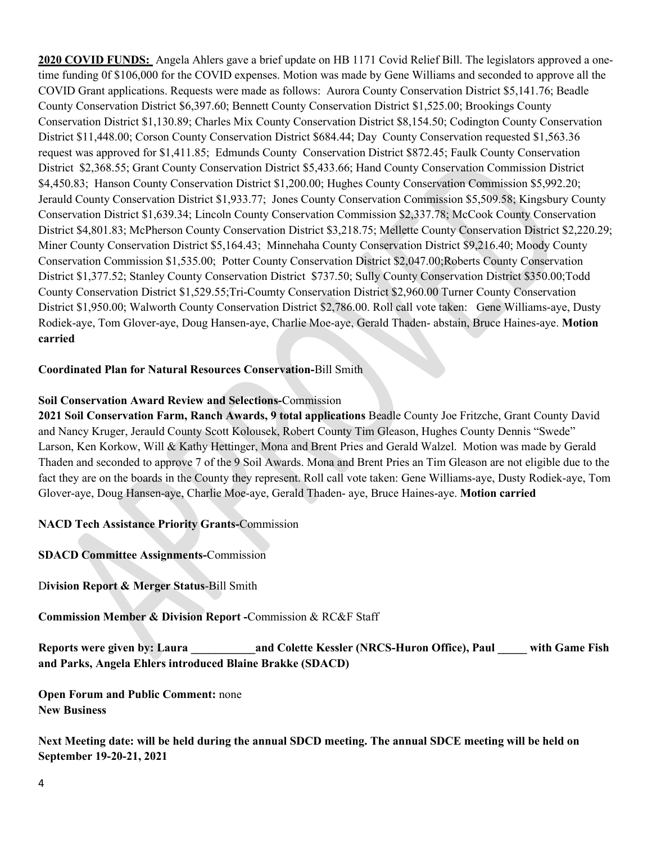**2020 COVID FUNDS:** Angela Ahlers gave a brief update on HB 1171 Covid Relief Bill. The legislators approved a onetime funding 0f \$106,000 for the COVID expenses. Motion was made by Gene Williams and seconded to approve all the COVID Grant applications. Requests were made as follows: Aurora County Conservation District \$5,141.76; Beadle County Conservation District \$6,397.60; Bennett County Conservation District \$1,525.00; Brookings County Conservation District \$1,130.89; Charles Mix County Conservation District \$8,154.50; Codington County Conservation District \$11,448.00; Corson County Conservation District \$684.44; Day County Conservation requested \$1,563.36 request was approved for \$1,411.85; Edmunds County Conservation District \$872.45; Faulk County Conservation District \$2,368.55; Grant County Conservation District \$5,433.66; Hand County Conservation Commission District \$4,450.83; Hanson County Conservation District \$1,200.00; Hughes County Conservation Commission \$5,992.20; Jerauld County Conservation District \$1,933.77; Jones County Conservation Commission \$5,509.58; Kingsbury County Conservation District \$1,639.34; Lincoln County Conservation Commission \$2,337.78; McCook County Conservation District \$4,801.83; McPherson County Conservation District \$3,218.75; Mellette County Conservation District \$2,220.29; Miner County Conservation District \$5,164.43; Minnehaha County Conservation District \$9,216.40; Moody County Conservation Commission \$1,535.00; Potter County Conservation District \$2,047.00;Roberts County Conservation District \$1,377.52; Stanley County Conservation District \$737.50; Sully County Conservation District \$350.00;Todd County Conservation District \$1,529.55;Tri-Coumty Conservation District \$2,960.00 Turner County Conservation District \$1,950.00; Walworth County Conservation District \$2,786.00. Roll call vote taken:Gene Williams-aye, Dusty Rodiek-aye, Tom Glover-aye, Doug Hansen-aye, Charlie Moe-aye, Gerald Thaden- abstain, Bruce Haines-aye. **Motion carried**

# **Coordinated Plan for Natural Resources Conservation-**Bill Smith

#### **Soil Conservation Award Review and Selections-**Commission

**2021 Soil Conservation Farm, Ranch Awards, 9 total applications** Beadle County Joe Fritzche, Grant County David and Nancy Kruger, Jerauld County Scott Kolousek, Robert County Tim Gleason, Hughes County Dennis "Swede" Larson, Ken Korkow, Will & Kathy Hettinger, Mona and Brent Pries and Gerald Walzel. Motion was made by Gerald Thaden and seconded to approve 7 of the 9 Soil Awards. Mona and Brent Pries an Tim Gleason are not eligible due to the fact they are on the boards in the County they represent. Roll call vote taken: Gene Williams-aye, Dusty Rodiek-aye, Tom Glover-aye, Doug Hansen-aye, Charlie Moe-aye, Gerald Thaden- aye, Bruce Haines-aye. **Motion carried**

**NACD Tech Assistance Priority Grants-**Commission

**SDACD Committee Assignments-**Commission

D**ivision Report & Merger Status**-Bill Smith

**Commission Member & Division Report -**Commission & RC&F Staff

**Reports were given by: Laura \_\_\_\_\_\_\_\_\_\_\_and Colette Kessler (NRCS-Huron Office), Paul \_\_\_\_\_ with Game Fish and Parks, Angela Ehlers introduced Blaine Brakke (SDACD)** 

**Open Forum and Public Comment:** none **New Business**

**Next Meeting date: will be held during the annual SDCD meeting. The annual SDCE meeting will be held on September 19-20-21, 2021**